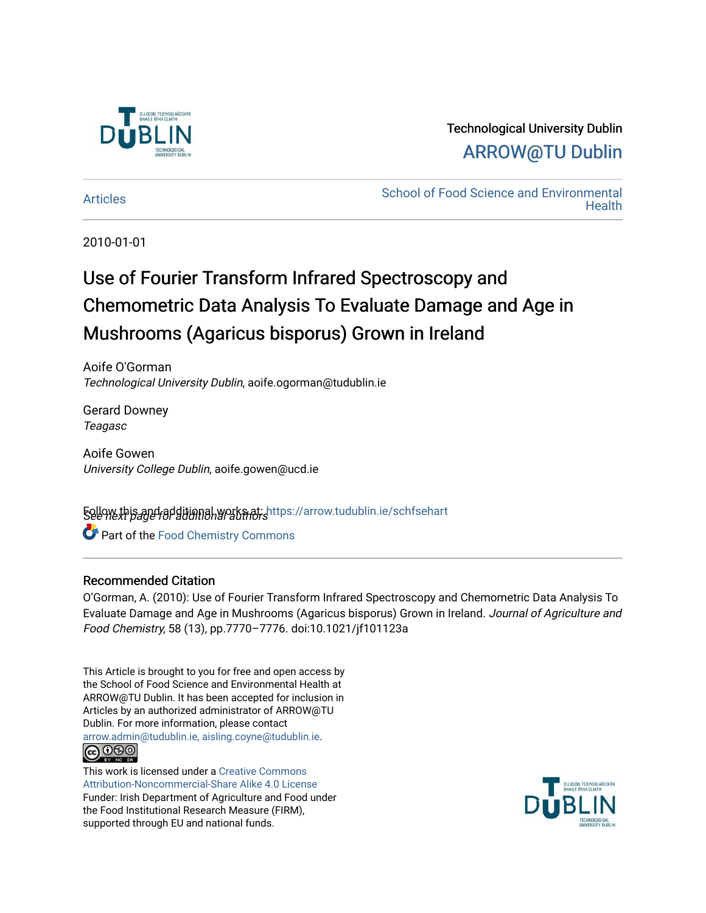

## Technological University Dublin [ARROW@TU Dublin](https://arrow.tudublin.ie/)

[Articles](https://arrow.tudublin.ie/schfsehart) **School of Food Science and Environmental Health** 

2010-01-01

# Use of Fourier Transform Infrared Spectroscopy and Chemometric Data Analysis To Evaluate Damage and Age in Mushrooms (Agaricus bisporus) Grown in Ireland

Aoife O'Gorman Technological University Dublin, aoife.ogorman@tudublin.ie

Gerard Downey Teagasc

Aoife Gowen University College Dublin, aoife.gowen@ucd.ie

**Follow this and additional works at: https://arrow.tudublin.ie/schfsehart C** Part of the Food Chemistry Commons

#### Recommended Citation

O'Gorman, A. (2010): Use of Fourier Transform Infrared Spectroscopy and Chemometric Data Analysis To Evaluate Damage and Age in Mushrooms (Agaricus bisporus) Grown in Ireland. Journal of Agriculture and Food Chemistry, 58 (13), pp.7770–7776. doi:10.1021/jf101123a

This Article is brought to you for free and open access by the School of Food Science and Environmental Health at ARROW@TU Dublin. It has been accepted for inclusion in Articles by an authorized administrator of ARROW@TU Dublin. For more information, please contact [arrow.admin@tudublin.ie, aisling.coyne@tudublin.ie](mailto:arrow.admin@tudublin.ie,%20aisling.coyne@tudublin.ie).



This work is licensed under a [Creative Commons](http://creativecommons.org/licenses/by-nc-sa/4.0/) [Attribution-Noncommercial-Share Alike 4.0 License](http://creativecommons.org/licenses/by-nc-sa/4.0/) Funder: Irish Department of Agriculture and Food under the Food Institutional Research Measure (FIRM), supported through EU and national funds.

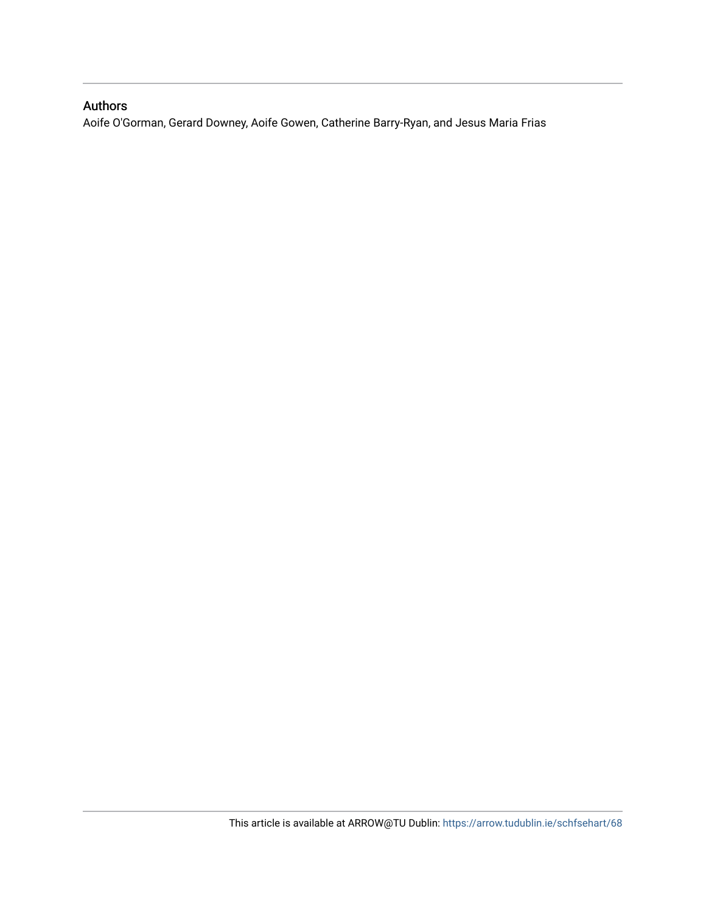### Authors

Aoife O'Gorman, Gerard Downey, Aoife Gowen, Catherine Barry-Ryan, and Jesus Maria Frias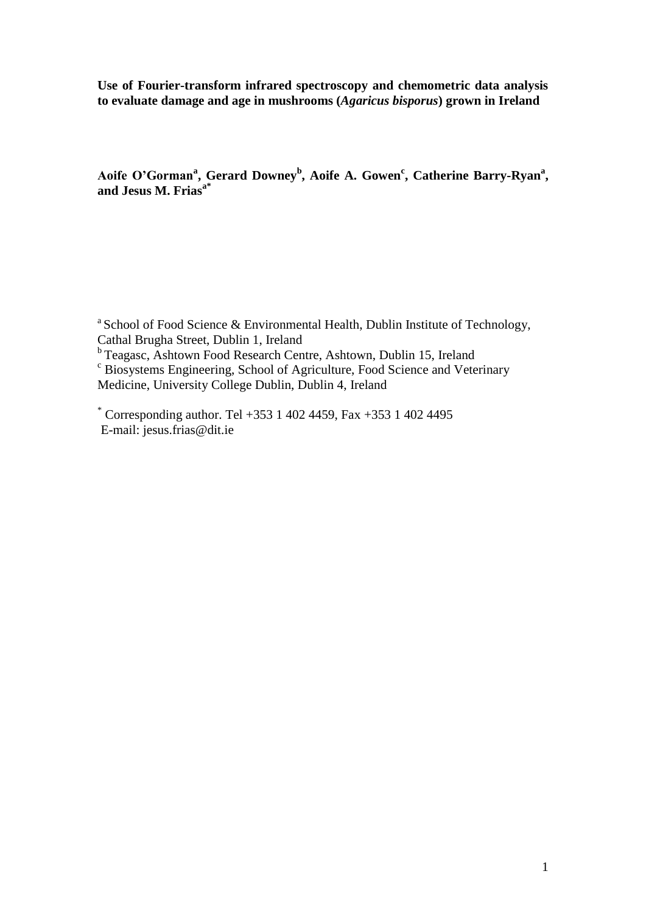**Use of Fourier-transform infrared spectroscopy and chemometric data analysis to evaluate damage and age in mushrooms (***Agaricus bisporus***) grown in Ireland**

Aoife O'Gorman<sup>a</sup>, Gerard Downey<sup>b</sup>, Aoife A. Gowen<sup>c</sup>, Catherine Barry-Ryan<sup>a</sup>, **and Jesus M. Friasa\***

<sup>a</sup> School of Food Science & Environmental Health, Dublin Institute of Technology, Cathal Brugha Street, Dublin 1, Ireland

<sup>b</sup> Teagasc, Ashtown Food Research Centre, Ashtown, Dublin 15, Ireland

<sup>c</sup> Biosystems Engineering, School of Agriculture, Food Science and Veterinary Medicine, University College Dublin, Dublin 4, Ireland

\* Corresponding author. Tel +353 1 402 4459, Fax +353 1 402 4495 E-mail: jesus.frias@dit.ie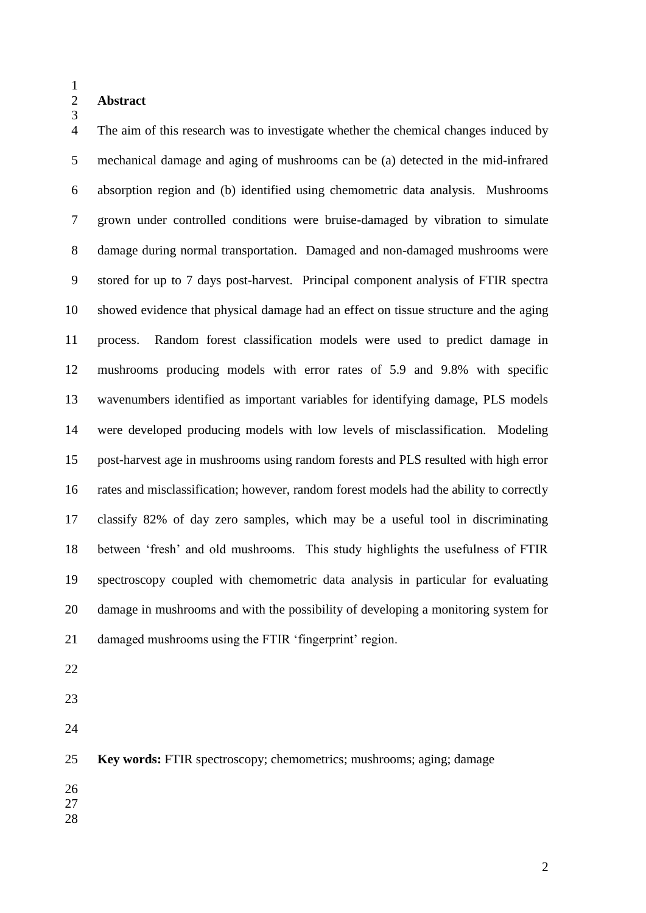#### **Abstract**

 The aim of this research was to investigate whether the chemical changes induced by mechanical damage and aging of mushrooms can be (a) detected in the mid-infrared absorption region and (b) identified using chemometric data analysis. Mushrooms grown under controlled conditions were bruise-damaged by vibration to simulate damage during normal transportation. Damaged and non-damaged mushrooms were stored for up to 7 days post-harvest. Principal component analysis of FTIR spectra showed evidence that physical damage had an effect on tissue structure and the aging process. Random forest classification models were used to predict damage in mushrooms producing models with error rates of 5.9 and 9.8% with specific wavenumbers identified as important variables for identifying damage, PLS models were developed producing models with low levels of misclassification. Modeling post-harvest age in mushrooms using random forests and PLS resulted with high error rates and misclassification; however, random forest models had the ability to correctly classify 82% of day zero samples, which may be a useful tool in discriminating between 'fresh' and old mushrooms. This study highlights the usefulness of FTIR spectroscopy coupled with chemometric data analysis in particular for evaluating damage in mushrooms and with the possibility of developing a monitoring system for damaged mushrooms using the FTIR 'fingerprint' region.

- 
- 
- 

**Key words:** FTIR spectroscopy; chemometrics; mushrooms; aging; damage

- 
- 
-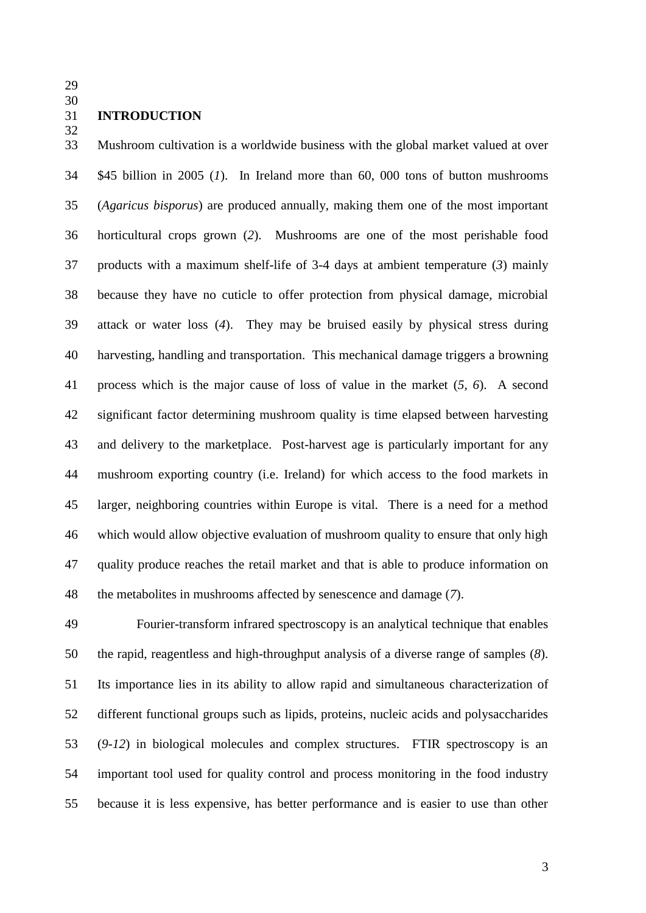#### **INTRODUCTION**

 Mushroom cultivation is a worldwide business with the global market valued at over \$45 billion in 2005 (*1*). In Ireland more than 60, 000 tons of button mushrooms (*Agaricus bisporus*) are produced annually, making them one of the most important horticultural crops grown (*2*). Mushrooms are one of the most perishable food products with a maximum shelf-life of 3-4 days at ambient temperature (*3*) mainly because they have no cuticle to offer protection from physical damage, microbial attack or water loss (*4*). They may be bruised easily by physical stress during harvesting, handling and transportation. This mechanical damage triggers a browning process which is the major cause of loss of value in the market (*5, 6*). A second significant factor determining mushroom quality is time elapsed between harvesting and delivery to the marketplace. Post-harvest age is particularly important for any mushroom exporting country (i.e. Ireland) for which access to the food markets in larger, neighboring countries within Europe is vital. There is a need for a method which would allow objective evaluation of mushroom quality to ensure that only high quality produce reaches the retail market and that is able to produce information on the metabolites in mushrooms affected by senescence and damage (*7*).

 Fourier-transform infrared spectroscopy is an analytical technique that enables the rapid, reagentless and high-throughput analysis of a diverse range of samples (*8*). Its importance lies in its ability to allow rapid and simultaneous characterization of different functional groups such as lipids, proteins, nucleic acids and polysaccharides (*9-12*) in biological molecules and complex structures. FTIR spectroscopy is an important tool used for quality control and process monitoring in the food industry because it is less expensive, has better performance and is easier to use than other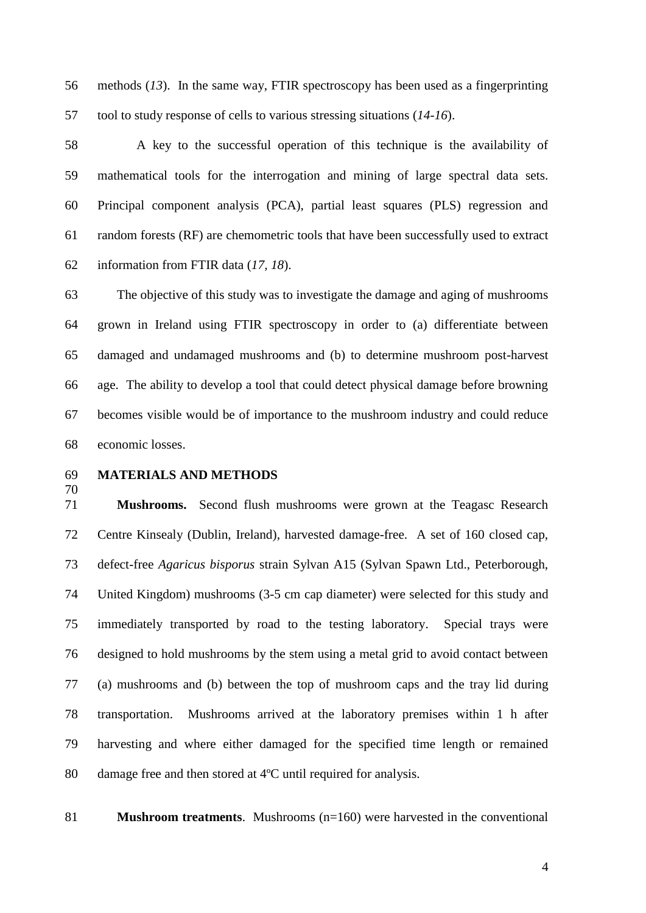methods (*13*). In the same way, FTIR spectroscopy has been used as a fingerprinting tool to study response of cells to various stressing situations (*14-16*).

 A key to the successful operation of this technique is the availability of mathematical tools for the interrogation and mining of large spectral data sets. Principal component analysis (PCA), partial least squares (PLS) regression and random forests (RF) are chemometric tools that have been successfully used to extract information from FTIR data (*17, 18*).

 The objective of this study was to investigate the damage and aging of mushrooms grown in Ireland using FTIR spectroscopy in order to (a) differentiate between damaged and undamaged mushrooms and (b) to determine mushroom post-harvest age. The ability to develop a tool that could detect physical damage before browning becomes visible would be of importance to the mushroom industry and could reduce economic losses.

#### **MATERIALS AND METHODS**

 **Mushrooms.** Second flush mushrooms were grown at the Teagasc Research Centre Kinsealy (Dublin, Ireland), harvested damage-free. A set of 160 closed cap, defect-free *Agaricus bisporus* strain Sylvan A15 (Sylvan Spawn Ltd., Peterborough, United Kingdom) mushrooms (3-5 cm cap diameter) were selected for this study and immediately transported by road to the testing laboratory. Special trays were designed to hold mushrooms by the stem using a metal grid to avoid contact between (a) mushrooms and (b) between the top of mushroom caps and the tray lid during transportation. Mushrooms arrived at the laboratory premises within 1 h after harvesting and where either damaged for the specified time length or remained damage free and then stored at 4ºC until required for analysis.

**Mushroom treatments**. Mushrooms (n=160) were harvested in the conventional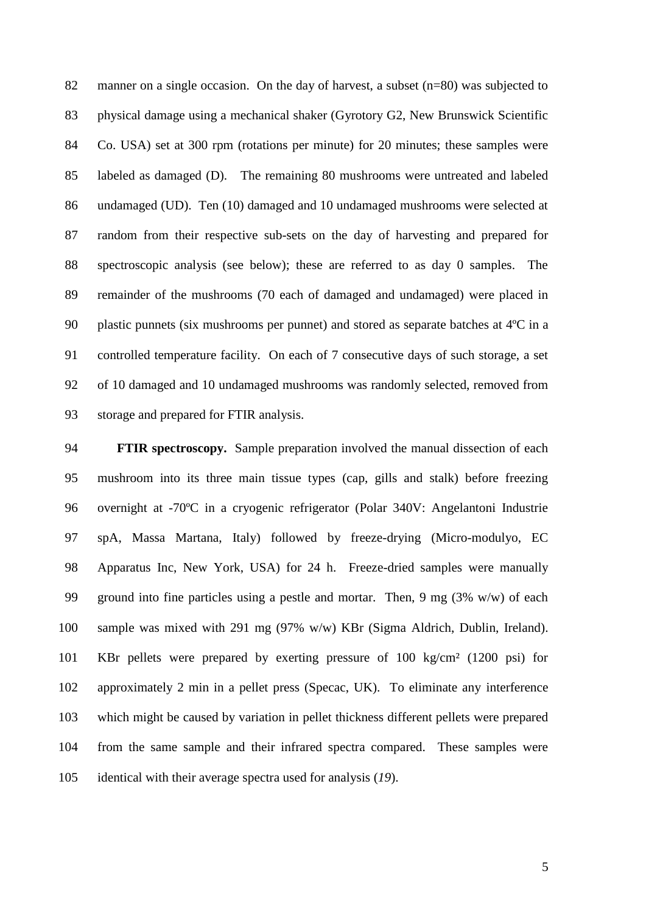82 manner on a single occasion. On the day of harvest, a subset (n=80) was subjected to physical damage using a mechanical shaker (Gyrotory G2, New Brunswick Scientific Co. USA) set at 300 rpm (rotations per minute) for 20 minutes; these samples were labeled as damaged (D). The remaining 80 mushrooms were untreated and labeled undamaged (UD). Ten (10) damaged and 10 undamaged mushrooms were selected at random from their respective sub-sets on the day of harvesting and prepared for spectroscopic analysis (see below); these are referred to as day 0 samples. The remainder of the mushrooms (70 each of damaged and undamaged) were placed in plastic punnets (six mushrooms per punnet) and stored as separate batches at 4ºC in a controlled temperature facility. On each of 7 consecutive days of such storage, a set of 10 damaged and 10 undamaged mushrooms was randomly selected, removed from storage and prepared for FTIR analysis.

 **FTIR spectroscopy.** Sample preparation involved the manual dissection of each mushroom into its three main tissue types (cap, gills and stalk) before freezing overnight at -70ºC in a cryogenic refrigerator (Polar 340V: Angelantoni Industrie spA, Massa Martana, Italy) followed by freeze-drying (Micro-modulyo, EC Apparatus Inc, New York, USA) for 24 h. Freeze-dried samples were manually ground into fine particles using a pestle and mortar. Then, 9 mg (3% w/w) of each sample was mixed with 291 mg (97% w/w) KBr (Sigma Aldrich, Dublin, Ireland). KBr pellets were prepared by exerting pressure of 100 kg/cm² (1200 psi) for approximately 2 min in a pellet press (Specac, UK). To eliminate any interference which might be caused by variation in pellet thickness different pellets were prepared from the same sample and their infrared spectra compared. These samples were identical with their average spectra used for analysis (*19*).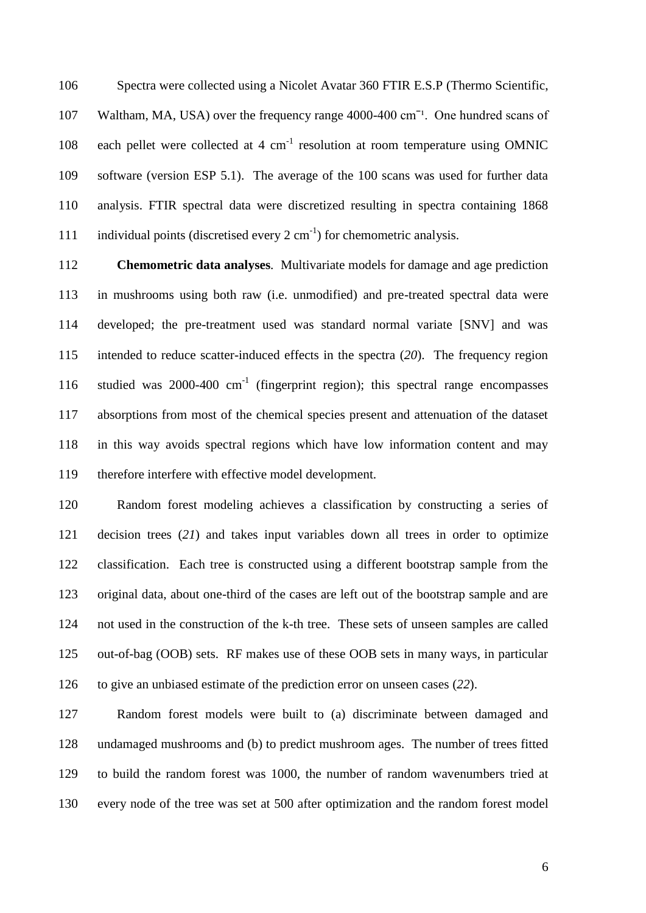Spectra were collected using a Nicolet Avatar 360 FTIR E.S.P (Thermo Scientific, 107 Waltham, MA, USA) over the frequency range 4000-400 cm<sup>-1</sup>. One hundred scans of 108 each pellet were collected at 4  $cm<sup>-1</sup>$  resolution at room temperature using OMNIC software (version ESP 5.1). The average of the 100 scans was used for further data analysis. FTIR spectral data were discretized resulting in spectra containing 1868 111 individual points (discretised every  $2 \text{ cm}^{-1}$ ) for chemometric analysis.

 **Chemometric data analyses***.* Multivariate models for damage and age prediction in mushrooms using both raw (i.e. unmodified) and pre-treated spectral data were developed; the pre-treatment used was standard normal variate [SNV] and was intended to reduce scatter-induced effects in the spectra (*20*). The frequency region 116 studied was 2000-400 cm<sup>-1</sup> (fingerprint region); this spectral range encompasses absorptions from most of the chemical species present and attenuation of the dataset in this way avoids spectral regions which have low information content and may therefore interfere with effective model development.

 Random forest modeling achieves a classification by constructing a series of decision trees (*21*) and takes input variables down all trees in order to optimize classification. Each tree is constructed using a different bootstrap sample from the original data, about one-third of the cases are left out of the bootstrap sample and are not used in the construction of the k-th tree. These sets of unseen samples are called out-of-bag (OOB) sets. RF makes use of these OOB sets in many ways, in particular to give an unbiased estimate of the prediction error on unseen cases (*22*).

 Random forest models were built to (a) discriminate between damaged and undamaged mushrooms and (b) to predict mushroom ages. The number of trees fitted to build the random forest was 1000, the number of random wavenumbers tried at every node of the tree was set at 500 after optimization and the random forest model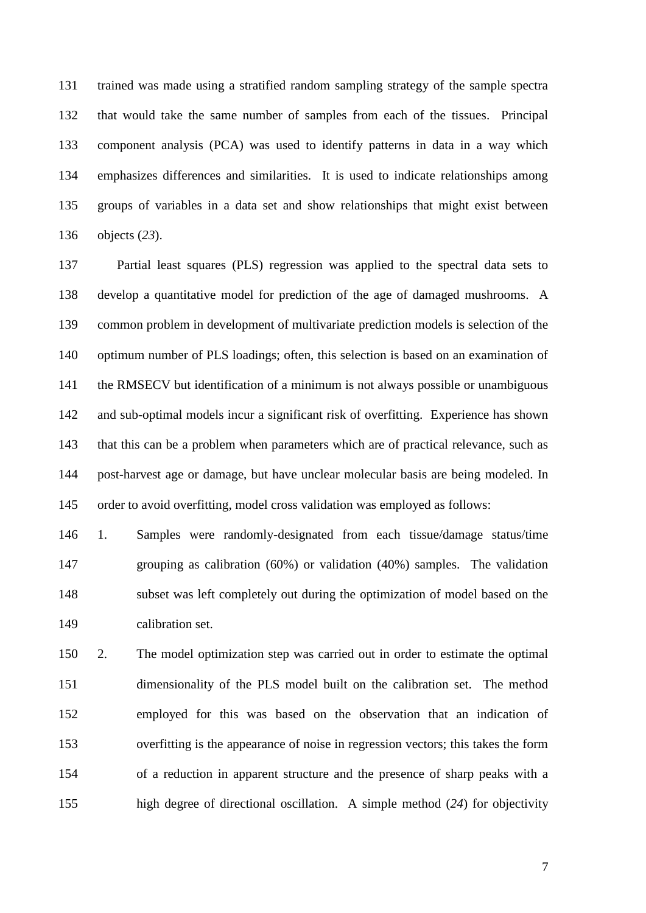trained was made using a stratified random sampling strategy of the sample spectra that would take the same number of samples from each of the tissues. Principal component analysis (PCA) was used to identify patterns in data in a way which emphasizes differences and similarities. It is used to indicate relationships among groups of variables in a data set and show relationships that might exist between objects (*23*).

 Partial least squares (PLS) regression was applied to the spectral data sets to develop a quantitative model for prediction of the age of damaged mushrooms. A common problem in development of multivariate prediction models is selection of the optimum number of PLS loadings; often, this selection is based on an examination of the RMSECV but identification of a minimum is not always possible or unambiguous and sub-optimal models incur a significant risk of overfitting. Experience has shown that this can be a problem when parameters which are of practical relevance, such as post-harvest age or damage, but have unclear molecular basis are being modeled. In order to avoid overfitting, model cross validation was employed as follows:

 1. Samples were randomly-designated from each tissue/damage status/time grouping as calibration (60%) or validation (40%) samples. The validation subset was left completely out during the optimization of model based on the calibration set.

 2. The model optimization step was carried out in order to estimate the optimal dimensionality of the PLS model built on the calibration set. The method employed for this was based on the observation that an indication of overfitting is the appearance of noise in regression vectors; this takes the form of a reduction in apparent structure and the presence of sharp peaks with a high degree of directional oscillation. A simple method (*24*) for objectivity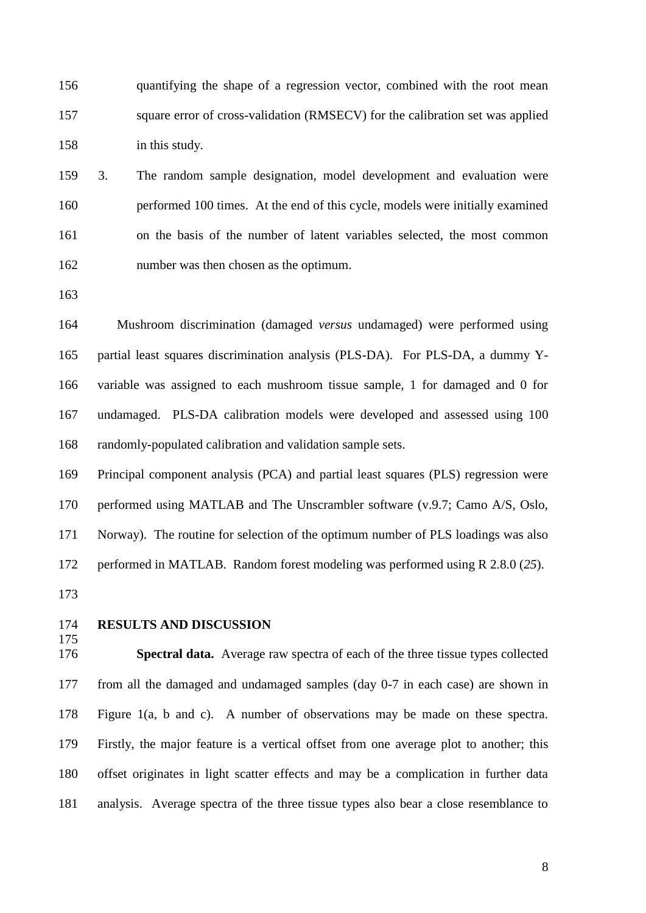quantifying the shape of a regression vector, combined with the root mean square error of cross-validation (RMSECV) for the calibration set was applied in this study.

 3. The random sample designation, model development and evaluation were performed 100 times. At the end of this cycle, models were initially examined on the basis of the number of latent variables selected, the most common number was then chosen as the optimum.

 Mushroom discrimination (damaged *versus* undamaged) were performed using partial least squares discrimination analysis (PLS-DA). For PLS-DA, a dummy Y- variable was assigned to each mushroom tissue sample, 1 for damaged and 0 for undamaged. PLS-DA calibration models were developed and assessed using 100 randomly-populated calibration and validation sample sets.

 Principal component analysis (PCA) and partial least squares (PLS) regression were performed using MATLAB and The Unscrambler software (v.9.7; Camo A/S, Oslo, Norway). The routine for selection of the optimum number of PLS loadings was also performed in MATLAB. Random forest modeling was performed using R 2.8.0 (*25*).

- 
- 

#### **RESULTS AND DISCUSSION**

 **Spectral data.** Average raw spectra of each of the three tissue types collected from all the damaged and undamaged samples (day 0-7 in each case) are shown in Figure 1(a, b and c). A number of observations may be made on these spectra. Firstly, the major feature is a vertical offset from one average plot to another; this offset originates in light scatter effects and may be a complication in further data analysis. Average spectra of the three tissue types also bear a close resemblance to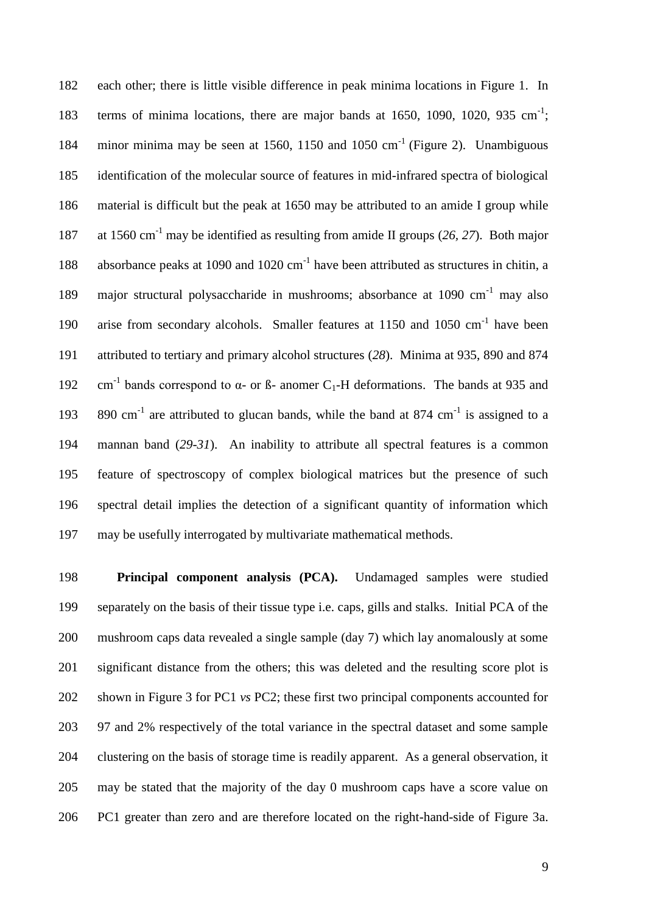each other; there is little visible difference in peak minima locations in Figure 1. In 183 terms of minima locations, there are major bands at 1650, 1090, 1020, 935 cm<sup>-1</sup>; 184 minor minima may be seen at 1560, 1150 and 1050 cm<sup>-1</sup> (Figure 2). Unambiguous identification of the molecular source of features in mid-infrared spectra of biological material is difficult but the peak at 1650 may be attributed to an amide I group while 187 at 1560 cm<sup>-1</sup> may be identified as resulting from amide II groups (26, 27). Both major 188 absorbance peaks at 1090 and 1020 cm<sup>-1</sup> have been attributed as structures in chitin, a 189 major structural polysaccharide in mushrooms; absorbance at 1090 cm<sup>-1</sup> may also 190 arise from secondary alcohols. Smaller features at 1150 and 1050 cm<sup>-1</sup> have been attributed to tertiary and primary alcohol structures (*28*). Minima at 935, 890 and 874 192 cm<sup>-1</sup> bands correspond to  $\alpha$ - or ß- anomer C<sub>1</sub>-H deformations. The bands at 935 and 193 890 cm<sup>-1</sup> are attributed to glucan bands, while the band at 874 cm<sup>-1</sup> is assigned to a mannan band (*29-31*). An inability to attribute all spectral features is a common feature of spectroscopy of complex biological matrices but the presence of such spectral detail implies the detection of a significant quantity of information which may be usefully interrogated by multivariate mathematical methods.

 **Principal component analysis (PCA).** Undamaged samples were studied separately on the basis of their tissue type i.e. caps, gills and stalks. Initial PCA of the mushroom caps data revealed a single sample (day 7) which lay anomalously at some significant distance from the others; this was deleted and the resulting score plot is shown in Figure 3 for PC1 *vs* PC2; these first two principal components accounted for 97 and 2% respectively of the total variance in the spectral dataset and some sample clustering on the basis of storage time is readily apparent. As a general observation, it may be stated that the majority of the day 0 mushroom caps have a score value on PC1 greater than zero and are therefore located on the right-hand-side of Figure 3a.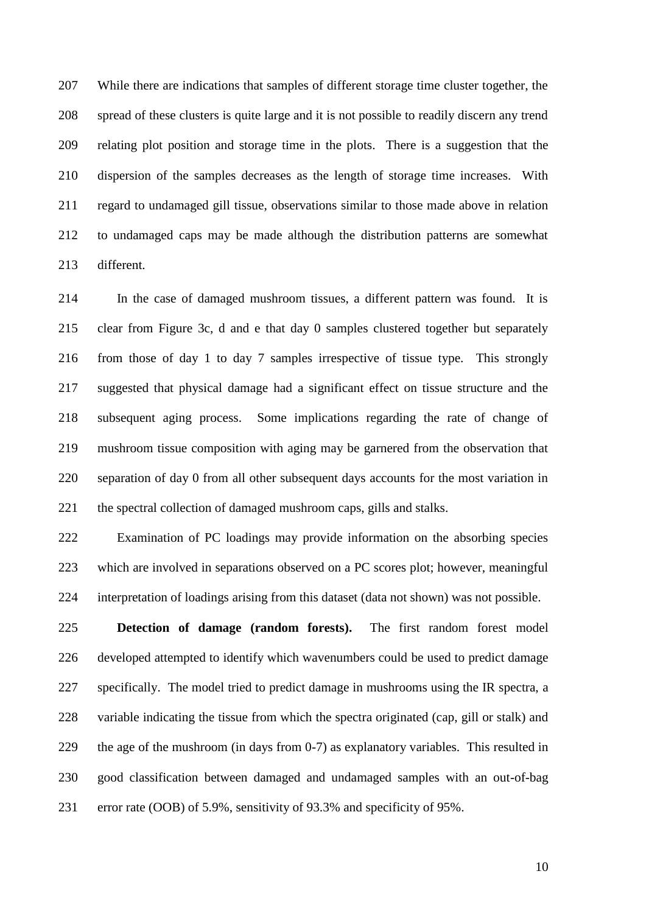While there are indications that samples of different storage time cluster together, the spread of these clusters is quite large and it is not possible to readily discern any trend relating plot position and storage time in the plots. There is a suggestion that the dispersion of the samples decreases as the length of storage time increases. With regard to undamaged gill tissue, observations similar to those made above in relation to undamaged caps may be made although the distribution patterns are somewhat different.

 In the case of damaged mushroom tissues, a different pattern was found. It is clear from Figure 3c, d and e that day 0 samples clustered together but separately from those of day 1 to day 7 samples irrespective of tissue type. This strongly suggested that physical damage had a significant effect on tissue structure and the subsequent aging process. Some implications regarding the rate of change of mushroom tissue composition with aging may be garnered from the observation that separation of day 0 from all other subsequent days accounts for the most variation in 221 the spectral collection of damaged mushroom caps, gills and stalks.

 Examination of PC loadings may provide information on the absorbing species which are involved in separations observed on a PC scores plot; however, meaningful interpretation of loadings arising from this dataset (data not shown) was not possible.

 **Detection of damage (random forests).** The first random forest model developed attempted to identify which wavenumbers could be used to predict damage specifically. The model tried to predict damage in mushrooms using the IR spectra, a variable indicating the tissue from which the spectra originated (cap, gill or stalk) and the age of the mushroom (in days from 0-7) as explanatory variables. This resulted in good classification between damaged and undamaged samples with an out-of-bag error rate (OOB) of 5.9%, sensitivity of 93.3% and specificity of 95%.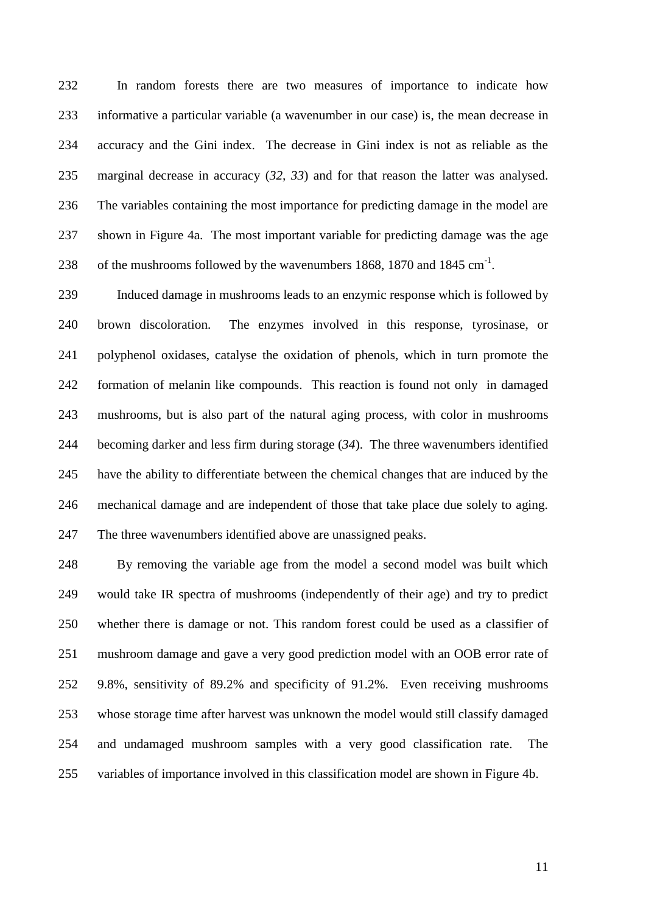In random forests there are two measures of importance to indicate how informative a particular variable (a wavenumber in our case) is, the mean decrease in accuracy and the Gini index. The decrease in Gini index is not as reliable as the marginal decrease in accuracy (*32, 33*) and for that reason the latter was analysed. The variables containing the most importance for predicting damage in the model are shown in Figure 4a. The most important variable for predicting damage was the age 238 of the mushrooms followed by the wavenumbers 1868, 1870 and 1845 cm<sup>-1</sup>.

 Induced damage in mushrooms leads to an enzymic response which is followed by brown discoloration. The enzymes involved in this response, tyrosinase, or polyphenol oxidases, catalyse the oxidation of phenols, which in turn promote the formation of melanin like compounds. This reaction is found not only in damaged mushrooms, but is also part of the natural aging process, with color in mushrooms becoming darker and less firm during storage (*34*). The three wavenumbers identified have the ability to differentiate between the chemical changes that are induced by the mechanical damage and are independent of those that take place due solely to aging. The three wavenumbers identified above are unassigned peaks.

 By removing the variable age from the model a second model was built which would take IR spectra of mushrooms (independently of their age) and try to predict whether there is damage or not. This random forest could be used as a classifier of mushroom damage and gave a very good prediction model with an OOB error rate of 9.8%, sensitivity of 89.2% and specificity of 91.2%. Even receiving mushrooms whose storage time after harvest was unknown the model would still classify damaged and undamaged mushroom samples with a very good classification rate. The variables of importance involved in this classification model are shown in Figure 4b.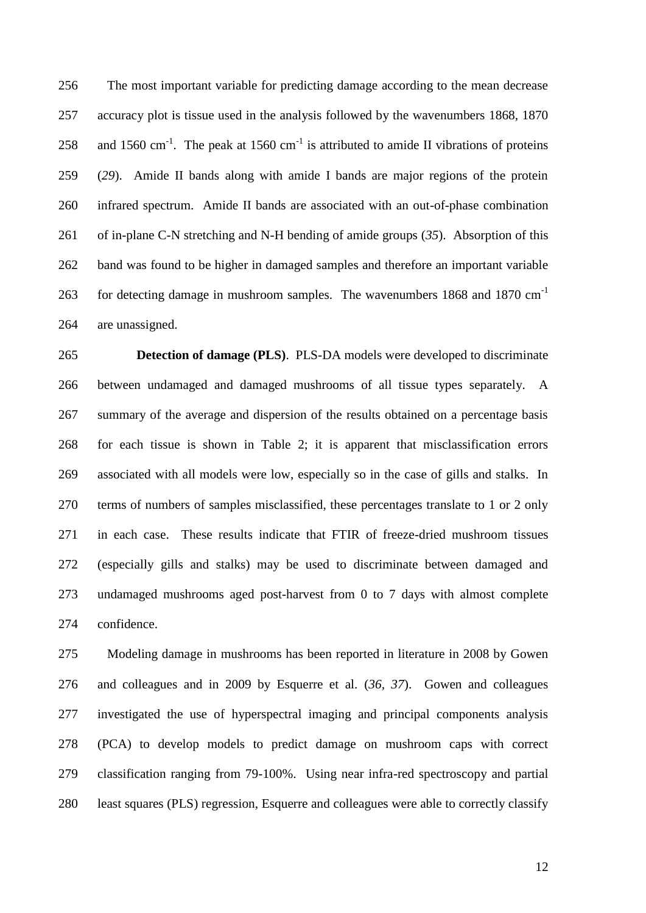The most important variable for predicting damage according to the mean decrease accuracy plot is tissue used in the analysis followed by the wavenumbers 1868, 1870 258 and 1560 cm<sup>-1</sup>. The peak at 1560 cm<sup>-1</sup> is attributed to amide II vibrations of proteins (*29*). Amide II bands along with amide I bands are major regions of the protein infrared spectrum. Amide II bands are associated with an out-of-phase combination of in-plane C-N stretching and N-H bending of amide groups (*35*). Absorption of this band was found to be higher in damaged samples and therefore an important variable for detecting damage in mushroom samples. The wavenumbers 1868 and 1870 cm-1 are unassigned.

 **Detection of damage (PLS)**. PLS-DA models were developed to discriminate between undamaged and damaged mushrooms of all tissue types separately. A summary of the average and dispersion of the results obtained on a percentage basis for each tissue is shown in Table 2; it is apparent that misclassification errors associated with all models were low, especially so in the case of gills and stalks. In terms of numbers of samples misclassified, these percentages translate to 1 or 2 only in each case. These results indicate that FTIR of freeze-dried mushroom tissues (especially gills and stalks) may be used to discriminate between damaged and undamaged mushrooms aged post-harvest from 0 to 7 days with almost complete confidence.

 Modeling damage in mushrooms has been reported in literature in 2008 by Gowen and colleagues and in 2009 by Esquerre et al. (*36, 37*). Gowen and colleagues investigated the use of hyperspectral imaging and principal components analysis (PCA) to develop models to predict damage on mushroom caps with correct classification ranging from 79-100%. Using near infra-red spectroscopy and partial least squares (PLS) regression, Esquerre and colleagues were able to correctly classify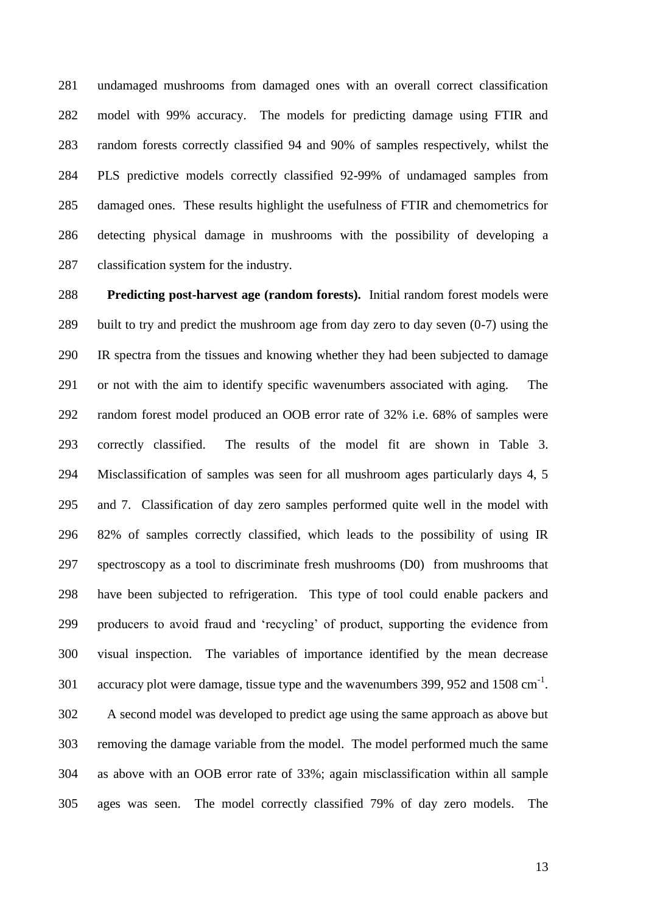undamaged mushrooms from damaged ones with an overall correct classification model with 99% accuracy. The models for predicting damage using FTIR and random forests correctly classified 94 and 90% of samples respectively, whilst the PLS predictive models correctly classified 92-99% of undamaged samples from damaged ones. These results highlight the usefulness of FTIR and chemometrics for detecting physical damage in mushrooms with the possibility of developing a classification system for the industry.

 **Predicting post-harvest age (random forests).** Initial random forest models were built to try and predict the mushroom age from day zero to day seven (0-7) using the IR spectra from the tissues and knowing whether they had been subjected to damage or not with the aim to identify specific wavenumbers associated with aging. The random forest model produced an OOB error rate of 32% i.e. 68% of samples were correctly classified. The results of the model fit are shown in Table 3. Misclassification of samples was seen for all mushroom ages particularly days 4, 5 and 7. Classification of day zero samples performed quite well in the model with 82% of samples correctly classified, which leads to the possibility of using IR spectroscopy as a tool to discriminate fresh mushrooms (D0) from mushrooms that have been subjected to refrigeration. This type of tool could enable packers and producers to avoid fraud and 'recycling' of product, supporting the evidence from visual inspection. The variables of importance identified by the mean decrease 301 accuracy plot were damage, tissue type and the wavenumbers 399, 952 and 1508 cm<sup>-1</sup>. A second model was developed to predict age using the same approach as above but removing the damage variable from the model. The model performed much the same as above with an OOB error rate of 33%; again misclassification within all sample ages was seen. The model correctly classified 79% of day zero models. The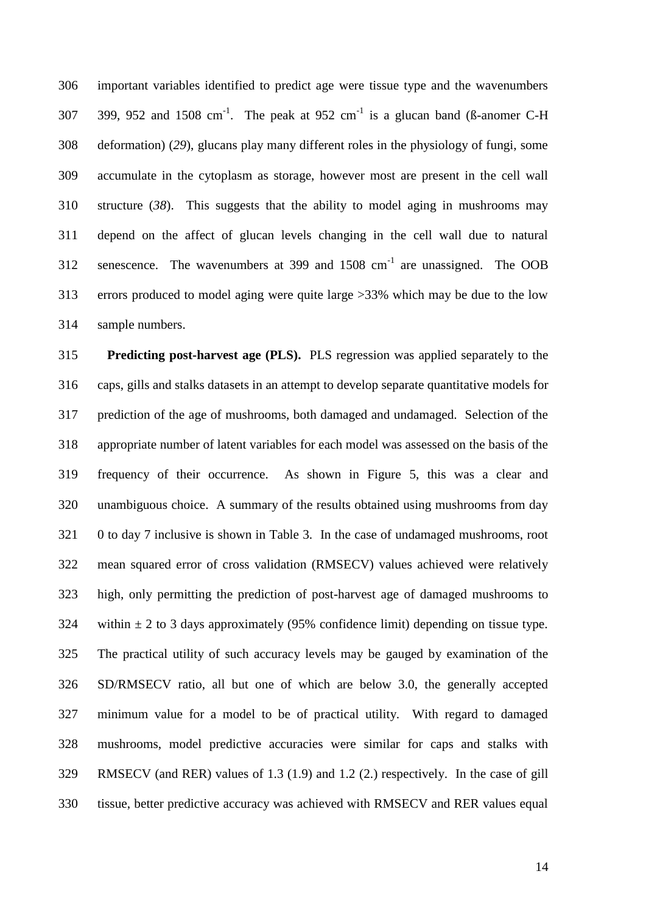important variables identified to predict age were tissue type and the wavenumbers 307 399, 952 and 1508 cm<sup>-1</sup>. The peak at 952 cm<sup>-1</sup> is a glucan band (ß-anomer C-H deformation) (*29*), glucans play many different roles in the physiology of fungi, some accumulate in the cytoplasm as storage, however most are present in the cell wall structure (*38*). This suggests that the ability to model aging in mushrooms may depend on the affect of glucan levels changing in the cell wall due to natural 312 senescence. The wavenumbers at 399 and  $1508 \text{ cm}^{-1}$  are unassigned. The OOB errors produced to model aging were quite large >33% which may be due to the low sample numbers.

 **Predicting post-harvest age (PLS).** PLS regression was applied separately to the caps, gills and stalks datasets in an attempt to develop separate quantitative models for prediction of the age of mushrooms, both damaged and undamaged. Selection of the appropriate number of latent variables for each model was assessed on the basis of the frequency of their occurrence. As shown in Figure 5, this was a clear and unambiguous choice. A summary of the results obtained using mushrooms from day 0 to day 7 inclusive is shown in Table 3. In the case of undamaged mushrooms, root mean squared error of cross validation (RMSECV) values achieved were relatively high, only permitting the prediction of post-harvest age of damaged mushrooms to 324 within  $\pm$  2 to 3 days approximately (95% confidence limit) depending on tissue type. The practical utility of such accuracy levels may be gauged by examination of the SD/RMSECV ratio, all but one of which are below 3.0, the generally accepted minimum value for a model to be of practical utility. With regard to damaged mushrooms, model predictive accuracies were similar for caps and stalks with RMSECV (and RER) values of 1.3 (1.9) and 1.2 (2.) respectively. In the case of gill tissue, better predictive accuracy was achieved with RMSECV and RER values equal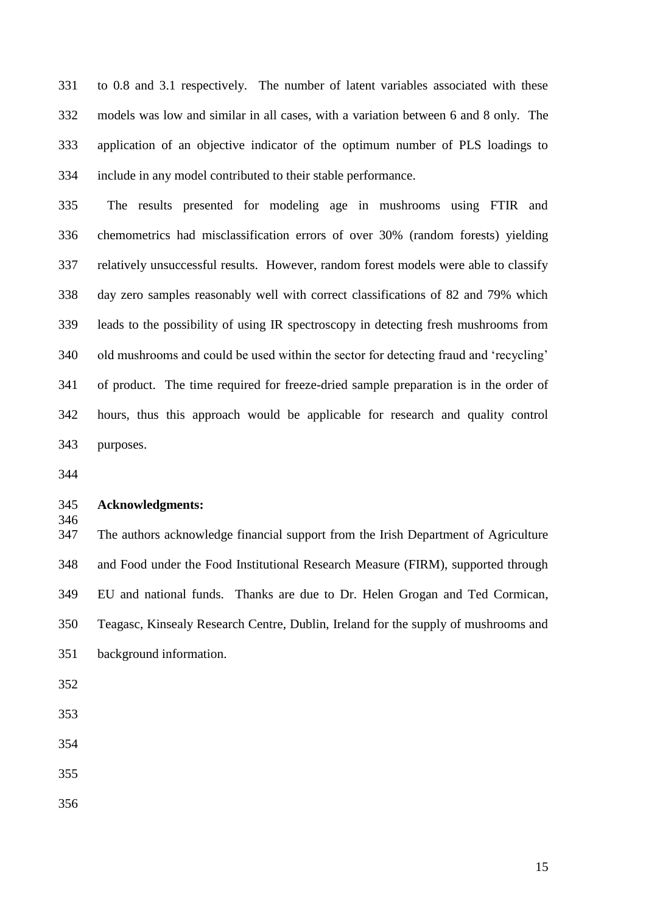to 0.8 and 3.1 respectively. The number of latent variables associated with these models was low and similar in all cases, with a variation between 6 and 8 only. The application of an objective indicator of the optimum number of PLS loadings to include in any model contributed to their stable performance.

 The results presented for modeling age in mushrooms using FTIR and chemometrics had misclassification errors of over 30% (random forests) yielding relatively unsuccessful results. However, random forest models were able to classify day zero samples reasonably well with correct classifications of 82 and 79% which leads to the possibility of using IR spectroscopy in detecting fresh mushrooms from old mushrooms and could be used within the sector for detecting fraud and 'recycling' of product. The time required for freeze-dried sample preparation is in the order of hours, thus this approach would be applicable for research and quality control purposes.

#### **Acknowledgments:**

 The authors acknowledge financial support from the Irish Department of Agriculture and Food under the Food Institutional Research Measure (FIRM), supported through EU and national funds. Thanks are due to Dr. Helen Grogan and Ted Cormican, Teagasc, Kinsealy Research Centre, Dublin, Ireland for the supply of mushrooms and background information.

- 
- 
- 
-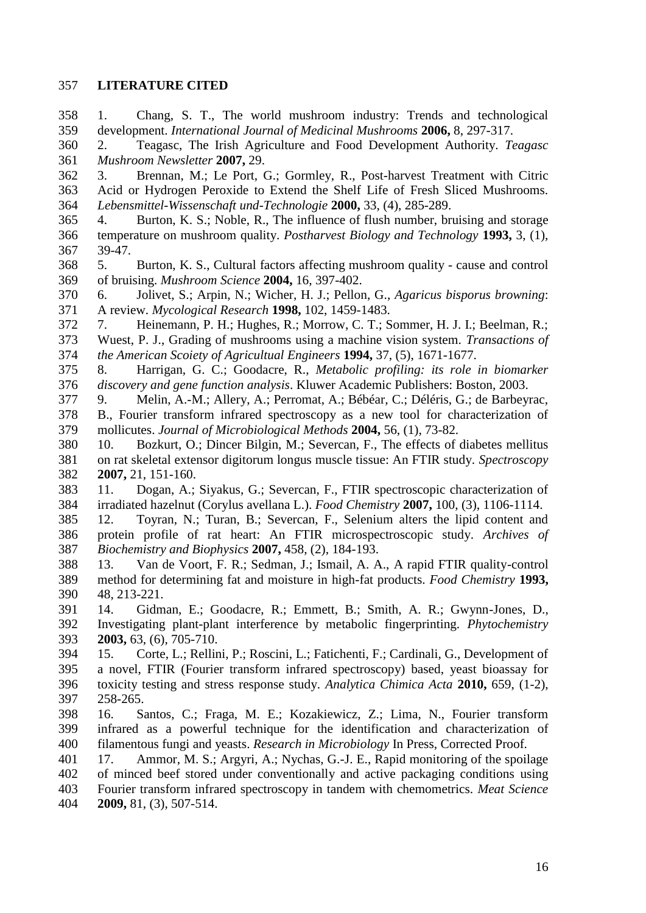#### **LITERATURE CITED**

 1. Chang, S. T., The world mushroom industry: Trends and technological development. *International Journal of Medicinal Mushrooms* **2006,** 8, 297-317. 2. Teagasc, The Irish Agriculture and Food Development Authority. *Teagasc Mushroom Newsletter* **2007,** 29. 3. Brennan, M.; Le Port, G.; Gormley, R., Post-harvest Treatment with Citric Acid or Hydrogen Peroxide to Extend the Shelf Life of Fresh Sliced Mushrooms. *Lebensmittel-Wissenschaft und-Technologie* **2000,** 33, (4), 285-289. 4. Burton, K. S.; Noble, R., The influence of flush number, bruising and storage temperature on mushroom quality. *Postharvest Biology and Technology* **1993,** 3, (1), 39-47. 5. Burton, K. S., Cultural factors affecting mushroom quality - cause and control of bruising. *Mushroom Science* **2004,** 16, 397-402. 6. Jolivet, S.; Arpin, N.; Wicher, H. J.; Pellon, G., *Agaricus bisporus browning*: A review. *Mycological Research* **1998,** 102, 1459-1483. 7. Heinemann, P. H.; Hughes, R.; Morrow, C. T.; Sommer, H. J. I.; Beelman, R.; Wuest, P. J., Grading of mushrooms using a machine vision system. *Transactions of the American Scoiety of Agricultual Engineers* **1994,** 37, (5), 1671-1677. 8. Harrigan, G. C.; Goodacre, R., *Metabolic profiling: its role in biomarker discovery and gene function analysis*. Kluwer Academic Publishers: Boston, 2003. 9. Melin, A.-M.; Allery, A.; Perromat, A.; Bébéar, C.; Déléris, G.; de Barbeyrac, B., Fourier transform infrared spectroscopy as a new tool for characterization of mollicutes. *Journal of Microbiological Methods* **2004,** 56, (1), 73-82. 10. Bozkurt, O.; Dincer Bilgin, M.; Severcan, F., The effects of diabetes mellitus on rat skeletal extensor digitorum longus muscle tissue: An FTIR study. *Spectroscopy*  **2007,** 21, 151-160. 11. Dogan, A.; Siyakus, G.; Severcan, F., FTIR spectroscopic characterization of irradiated hazelnut (Corylus avellana L.). *Food Chemistry* **2007,** 100, (3), 1106-1114. 12. Toyran, N.; Turan, B.; Severcan, F., Selenium alters the lipid content and protein profile of rat heart: An FTIR microspectroscopic study. *Archives of Biochemistry and Biophysics* **2007,** 458, (2), 184-193. 13. Van de Voort, F. R.; Sedman, J.; Ismail, A. A., A rapid FTIR quality-control method for determining fat and moisture in high-fat products. *Food Chemistry* **1993,** 48, 213-221. 14. Gidman, E.; Goodacre, R.; Emmett, B.; Smith, A. R.; Gwynn-Jones, D., Investigating plant-plant interference by metabolic fingerprinting. *Phytochemistry*  **2003,** 63, (6), 705-710. 15. Corte, L.; Rellini, P.; Roscini, L.; Fatichenti, F.; Cardinali, G., Development of a novel, FTIR (Fourier transform infrared spectroscopy) based, yeast bioassay for toxicity testing and stress response study. *Analytica Chimica Acta* **2010,** 659, (1-2), 258-265. 16. Santos, C.; Fraga, M. E.; Kozakiewicz, Z.; Lima, N., Fourier transform infrared as a powerful technique for the identification and characterization of filamentous fungi and yeasts. *Research in Microbiology* In Press, Corrected Proof. 17. Ammor, M. S.; Argyri, A.; Nychas, G.-J. E., Rapid monitoring of the spoilage of minced beef stored under conventionally and active packaging conditions using Fourier transform infrared spectroscopy in tandem with chemometrics. *Meat Science*  **2009,** 81, (3), 507-514.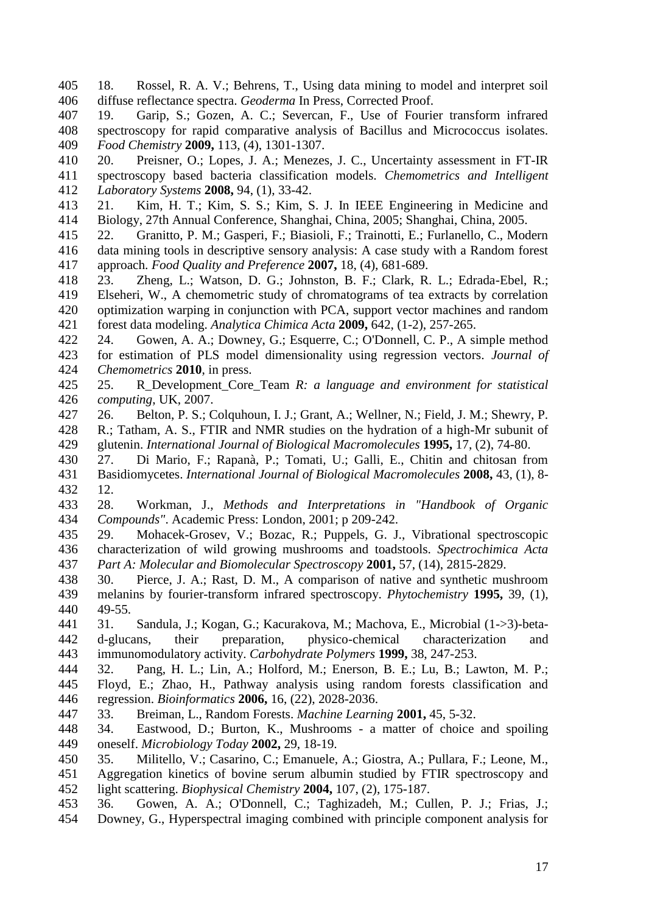- 18. Rossel, R. A. V.; Behrens, T., Using data mining to model and interpret soil diffuse reflectance spectra. *Geoderma* In Press, Corrected Proof.
- 19. Garip, S.; Gozen, A. C.; Severcan, F., Use of Fourier transform infrared spectroscopy for rapid comparative analysis of Bacillus and Micrococcus isolates. *Food Chemistry* **2009,** 113, (4), 1301-1307.

 20. Preisner, O.; Lopes, J. A.; Menezes, J. C., Uncertainty assessment in FT-IR spectroscopy based bacteria classification models. *Chemometrics and Intelligent Laboratory Systems* **2008,** 94, (1), 33-42.

- 21. Kim, H. T.; Kim, S. S.; Kim, S. J. In IEEE Engineering in Medicine and Biology, 27th Annual Conference, Shanghai, China, 2005; Shanghai, China, 2005.
- 22. Granitto, P. M.; Gasperi, F.; Biasioli, F.; Trainotti, E.; Furlanello, C., Modern data mining tools in descriptive sensory analysis: A case study with a Random forest approach. *Food Quality and Preference* **2007,** 18, (4), 681-689.
- 23. Zheng, L.; Watson, D. G.; Johnston, B. F.; Clark, R. L.; Edrada-Ebel, R.; Elseheri, W., A chemometric study of chromatograms of tea extracts by correlation optimization warping in conjunction with PCA, support vector machines and random forest data modeling. *Analytica Chimica Acta* **2009,** 642, (1-2), 257-265.
- 24. Gowen, A. A.; Downey, G.; Esquerre, C.; O'Donnell, C. P., A simple method for estimation of PLS model dimensionality using regression vectors. *Journal of Chemometrics* **2010**, in press.
- 25. R\_Development\_Core\_Team *R: a language and environment for statistical computing*, UK, 2007.
- 26. Belton, P. S.; Colquhoun, I. J.; Grant, A.; Wellner, N.; Field, J. M.; Shewry, P.
- R.; Tatham, A. S., FTIR and NMR studies on the hydration of a high-Mr subunit of glutenin. *International Journal of Biological Macromolecules* **1995,** 17, (2), 74-80.
- 27. Di Mario, F.; Rapanà, P.; Tomati, U.; Galli, E., Chitin and chitosan from Basidiomycetes. *International Journal of Biological Macromolecules* **2008,** 43, (1), 8- 12.
- 28. Workman, J., *Methods and Interpretations in "Handbook of Organic Compounds"*. Academic Press: London, 2001; p 209-242.
- 29. Mohacek-Grosev, V.; Bozac, R.; Puppels, G. J., Vibrational spectroscopic characterization of wild growing mushrooms and toadstools. *Spectrochimica Acta Part A: Molecular and Biomolecular Spectroscopy* **2001,** 57, (14), 2815-2829.
- 30. Pierce, J. A.; Rast, D. M., A comparison of native and synthetic mushroom melanins by fourier-transform infrared spectroscopy. *Phytochemistry* **1995,** 39, (1), 49-55.
- 31. Sandula, J.; Kogan, G.; Kacurakova, M.; Machova, E., Microbial (1->3)-beta- d-glucans, their preparation, physico-chemical characterization and immunomodulatory activity. *Carbohydrate Polymers* **1999,** 38, 247-253.
- 32. Pang, H. L.; Lin, A.; Holford, M.; Enerson, B. E.; Lu, B.; Lawton, M. P.; Floyd, E.; Zhao, H., Pathway analysis using random forests classification and regression. *Bioinformatics* **2006,** 16, (22), 2028-2036.
- 33. Breiman, L., Random Forests. *Machine Learning* **2001,** 45, 5-32.
- 34. Eastwood, D.; Burton, K., Mushrooms a matter of choice and spoiling oneself. *Microbiology Today* **2002,** 29, 18-19.
- 35. Militello, V.; Casarino, C.; Emanuele, A.; Giostra, A.; Pullara, F.; Leone, M., Aggregation kinetics of bovine serum albumin studied by FTIR spectroscopy and light scattering. *Biophysical Chemistry* **2004,** 107, (2), 175-187.
- 36. Gowen, A. A.; O'Donnell, C.; Taghizadeh, M.; Cullen, P. J.; Frias, J.; Downey, G., Hyperspectral imaging combined with principle component analysis for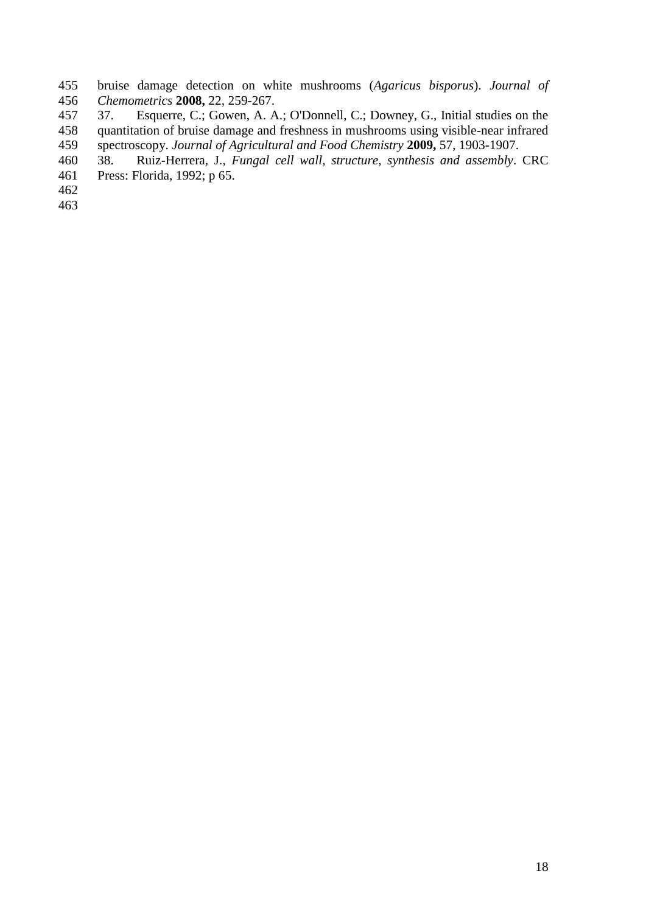- bruise damage detection on white mushrooms (*Agaricus bisporus*). *Journal of Chemometrics* **2008,** 22, 259-267.
- 37. Esquerre, C.; Gowen, A. A.; O'Donnell, C.; Downey, G., Initial studies on the quantitation of bruise damage and freshness in mushrooms using visible-near infrared spectroscopy. *Journal of Agricultural and Food Chemistry* **2009,** 57, 1903-1907.
- 38. Ruiz-Herrera, J., *Fungal cell wall, structure, synthesis and assembly*. CRC
- Press: Florida, 1992; p 65.
-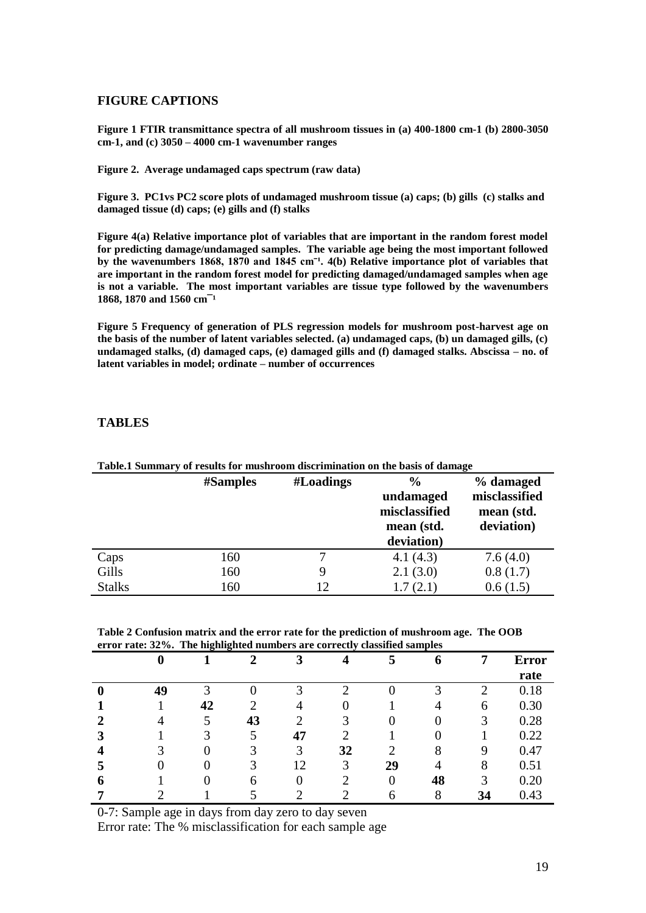#### **FIGURE CAPTIONS**

**Figure 1 FTIR transmittance spectra of all mushroom tissues in (a) 400-1800 cm-1 (b) 2800-3050 cm-1, and (c) 3050 – 4000 cm-1 wavenumber ranges**

**Figure 2. Average undamaged caps spectrum (raw data)**

**Figure 3. PC1vs PC2 score plots of undamaged mushroom tissue (a) caps; (b) gills (c) stalks and damaged tissue (d) caps; (e) gills and (f) stalks**

**Figure 4(a) Relative importance plot of variables that are important in the random forest model for predicting damage/undamaged samples. The variable age being the most important followed**  by the wavenumbers 1868, 1870 and 1845 cm<sup>-1</sup>. 4(b) Relative importance plot of variables that **are important in the random forest model for predicting damaged/undamaged samples when age is not a variable. The most important variables are tissue type followed by the wavenumbers**  1868, 1870 and 1560 cm<sup>-1</sup>

**Figure 5 Frequency of generation of PLS regression models for mushroom post-harvest age on the basis of the number of latent variables selected. (a) undamaged caps, (b) un damaged gills, (c) undamaged stalks, (d) damaged caps, (e) damaged gills and (f) damaged stalks. Abscissa – no. of latent variables in model; ordinate – number of occurrences**

#### **TABLES**

| Table.1 Summary of results for mushroom discrimination on the basis of damage |                 |           |               |               |  |  |
|-------------------------------------------------------------------------------|-----------------|-----------|---------------|---------------|--|--|
|                                                                               | <b>#Samples</b> | #Loadings | $\frac{6}{9}$ | % damaged     |  |  |
|                                                                               |                 |           | undamaged     | misclassified |  |  |
|                                                                               |                 |           | misclassified | mean (std.    |  |  |
|                                                                               |                 |           | mean (std.    | deviation)    |  |  |
|                                                                               |                 |           | deviation)    |               |  |  |
| Caps                                                                          | 160             |           | 4.1(4.3)      | 7.6(4.0)      |  |  |
| Gills                                                                         | 160             |           | 2.1(3.0)      | 0.8(1.7)      |  |  |
| <b>Stalks</b>                                                                 | 160             | 12        | 1.7(2.1)      | 0.6(1.5)      |  |  |

**Table.1 Summary of results for mushroom discrimination on the basis of damage**

**Table 2 Confusion matrix and the error rate for the prediction of mushroom age. The OOB error rate: 32%. The highlighted numbers are correctly classified samples**

|          |    | ັ<br><u>_</u> |    |    |    |    |    |    |              |
|----------|----|---------------|----|----|----|----|----|----|--------------|
|          |    |               |    |    |    | 5  | O  | 7  | <b>Error</b> |
|          |    |               |    |    |    |    |    |    | rate         |
| $\bf{0}$ | 49 | 3             |    |    |    |    | 3  |    | 0.18         |
|          |    | 42            |    | 4  |    |    |    | 6  | 0.30         |
|          |    |               | 43 |    |    |    | U  | 3  | 0.28         |
|          |    |               | 5  | 47 |    |    |    |    | 0.22         |
|          |    | $\theta$      |    | 3  | 32 | 2  | 8  |    | 0.47         |
|          |    |               | 3  | 12 | 3  | 29 |    | 8  | 0.51         |
| O        |    |               | 6  | 0  |    | 0  | 48 | 3  | 0.20         |
|          |    |               |    |    |    | 6  | 8  | 34 | 0.43         |

0-7: Sample age in days from day zero to day seven

Error rate: The % misclassification for each sample age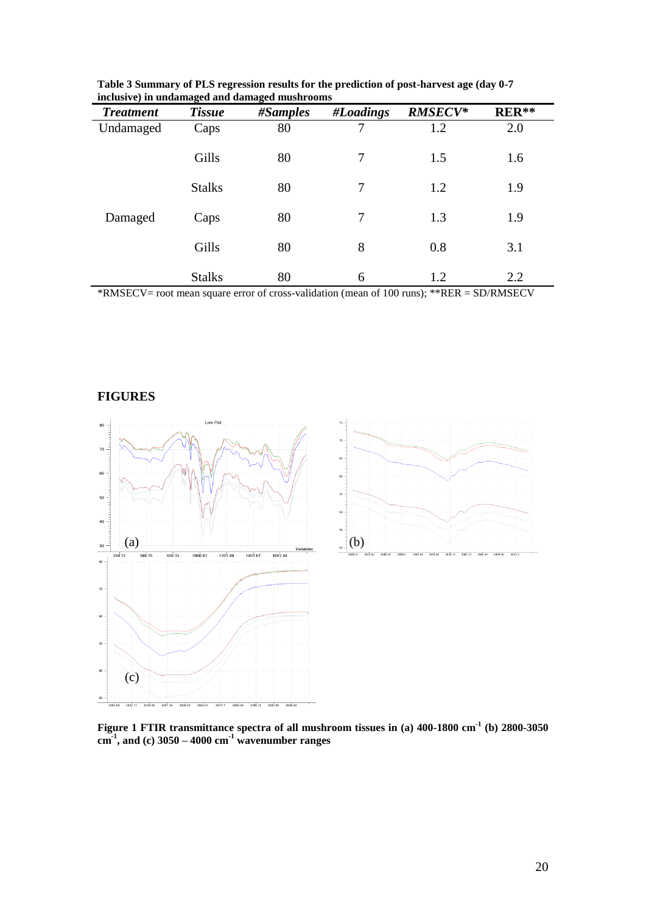|                  | o             | o         |                |                |         |  |
|------------------|---------------|-----------|----------------|----------------|---------|--|
| <b>Treatment</b> | <b>Tissue</b> | # Samples | #Loadings      | <b>RMSECV*</b> | $RER**$ |  |
| Undamaged        | Caps          | 80        | 7              | 1.2            | 2.0     |  |
|                  | Gills         | 80        | $\overline{7}$ | 1.5            | 1.6     |  |
|                  | <b>Stalks</b> | 80        | $\overline{7}$ | 1.2            | 1.9     |  |
| Damaged          | Caps          | 80        | 7              | 1.3            | 1.9     |  |
|                  | Gills         | 80        | 8              | 0.8            | 3.1     |  |
|                  | <b>Stalks</b> | 80        | 6              | 1.2            | 2.2     |  |

**Table 3 Summary of PLS regression results for the prediction of post-harvest age (day 0-7 inclusive) in undamaged and damaged mushrooms** 

\*RMSECV= root mean square error of cross-validation (mean of 100 runs); \*\*RER = SD/RMSECV





**Figure 1 FTIR transmittance spectra of all mushroom tissues in (a) 400-1800 cm-1 (b) 2800-3050 cm-1 , and (c) 3050 – 4000 cm-1 wavenumber ranges**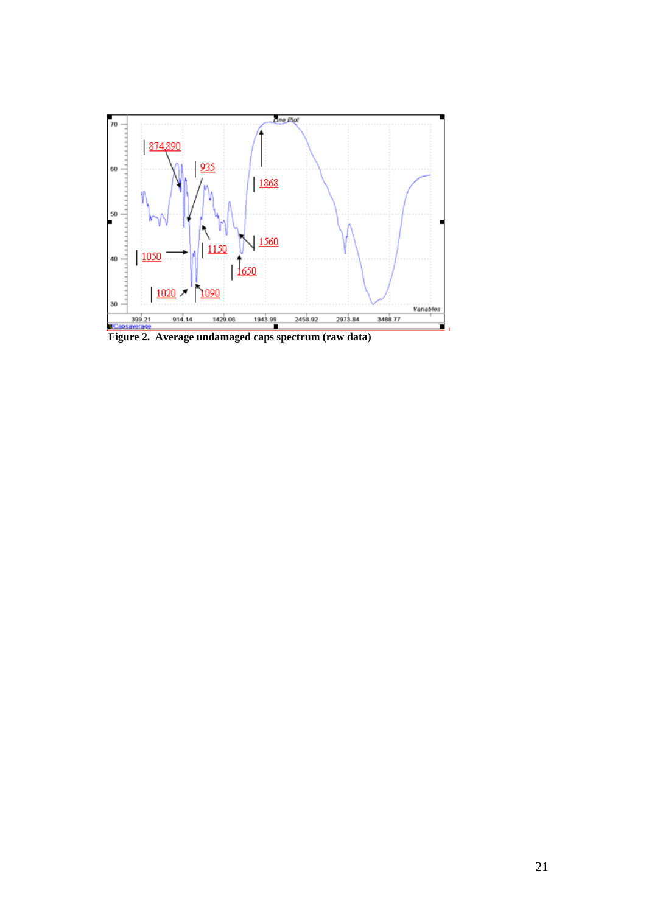

 **Figure 2. Average undamaged caps spectrum (raw data)**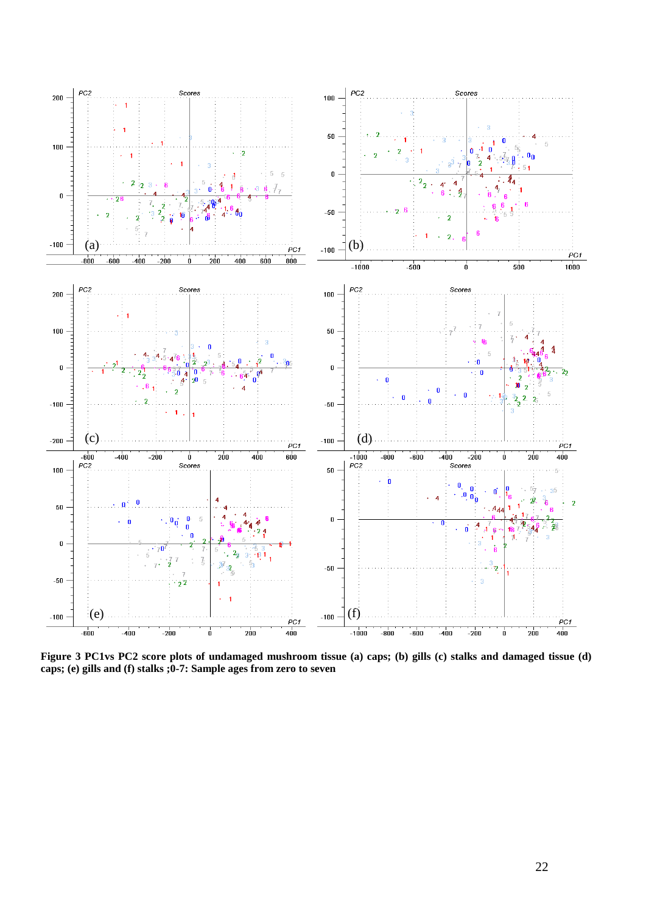

**Figure 3 PC1vs PC2 score plots of undamaged mushroom tissue (a) caps; (b) gills (c) stalks and damaged tissue (d) caps; (e) gills and (f) stalks ;0-7: Sample ages from zero to seven**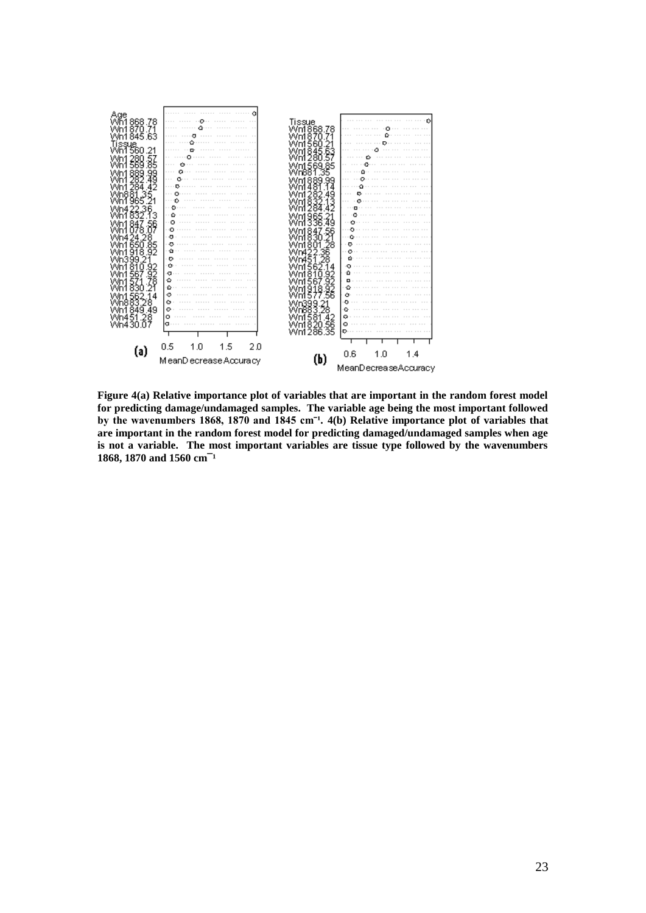

**Figure 4(a) Relative importance plot of variables that are important in the random forest model for predicting damage/undamaged samples. The variable age being the most important followed**  by the wavenumbers 1868, 1870 and 1845 cm<sup>-1</sup>. 4(b) Relative importance plot of variables that **are important in the random forest model for predicting damaged/undamaged samples when age is not a variable. The most important variables are tissue type followed by the wavenumbers**  1868, 1870 and 1560 cm<sup>-1</sup>